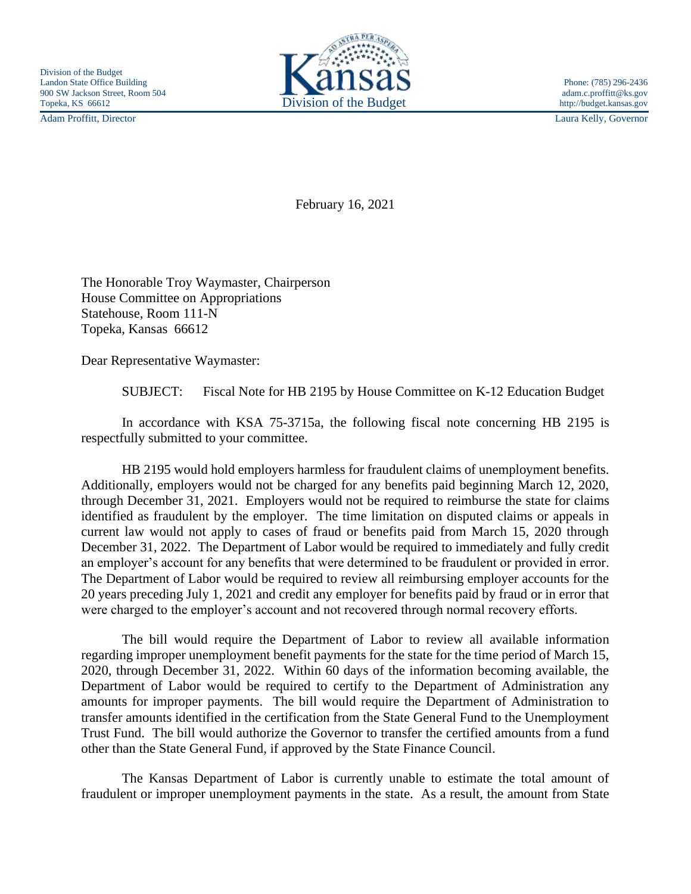

Adam Proffitt, Director Laura Kelly, Governor

February 16, 2021

The Honorable Troy Waymaster, Chairperson House Committee on Appropriations Statehouse, Room 111-N Topeka, Kansas 66612

Dear Representative Waymaster:

SUBJECT: Fiscal Note for HB 2195 by House Committee on K-12 Education Budget

In accordance with KSA 75-3715a, the following fiscal note concerning HB 2195 is respectfully submitted to your committee.

HB 2195 would hold employers harmless for fraudulent claims of unemployment benefits. Additionally, employers would not be charged for any benefits paid beginning March 12, 2020, through December 31, 2021. Employers would not be required to reimburse the state for claims identified as fraudulent by the employer. The time limitation on disputed claims or appeals in current law would not apply to cases of fraud or benefits paid from March 15, 2020 through December 31, 2022. The Department of Labor would be required to immediately and fully credit an employer's account for any benefits that were determined to be fraudulent or provided in error. The Department of Labor would be required to review all reimbursing employer accounts for the 20 years preceding July 1, 2021 and credit any employer for benefits paid by fraud or in error that were charged to the employer's account and not recovered through normal recovery efforts.

The bill would require the Department of Labor to review all available information regarding improper unemployment benefit payments for the state for the time period of March 15, 2020, through December 31, 2022. Within 60 days of the information becoming available, the Department of Labor would be required to certify to the Department of Administration any amounts for improper payments. The bill would require the Department of Administration to transfer amounts identified in the certification from the State General Fund to the Unemployment Trust Fund. The bill would authorize the Governor to transfer the certified amounts from a fund other than the State General Fund, if approved by the State Finance Council.

The Kansas Department of Labor is currently unable to estimate the total amount of fraudulent or improper unemployment payments in the state. As a result, the amount from State